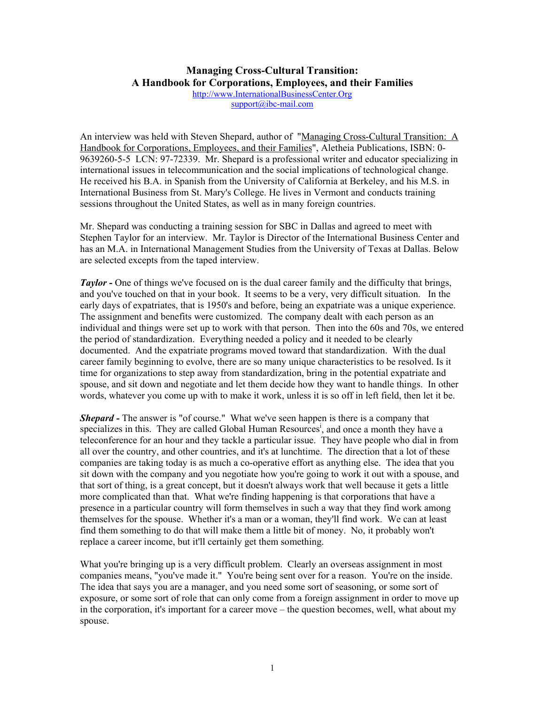## **Managing Cross-Cultural Transition: A Handbook for Corporations, Employees, and their Families**

[http://www.InternationalBusinessCenter.Org](http://www.internationalbusinesscenter.org/) [support@ibc-mail.com](mailto:support@ibc-mail.com)

An interview was held with Steven Shepard, author of "Managing Cross-Cultural Transition: A Handbook for Corporations, Employees, and their Families", Aletheia Publications, ISBN: 0- 9639260-5-5 LCN: 97-72339. Mr. Shepard is a professional writer and educator specializing in international issues in telecommunication and the social implications of technological change. He received his B.A. in Spanish from the University of California at Berkeley, and his M.S. in International Business from St. Mary's College. He lives in Vermont and conducts training sessions throughout the United States, as well as in many foreign countries.

Mr. Shepard was conducting a training session for SBC in Dallas and agreed to meet with Stephen Taylor for an interview. Mr. Taylor is Director of the International Business Center and has an M.A. in International Management Studies from the University of Texas at Dallas. Below are selected excepts from the taped interview.

*Taylor* - One of things we've focused on is the dual career family and the difficulty that brings, and you've touched on that in your book. It seems to be a very, very difficult situation. In the early days of expatriates, that is 1950's and before, being an expatriate was a unique experience. The assignment and benefits were customized. The company dealt with each person as an individual and things were set up to work with that person. Then into the 60s and 70s, we entered the period of standardization. Everything needed a policy and it needed to be clearly documented. And the expatriate programs moved toward that standardization. With the dual career family beginning to evolve, there are so many unique characteristics to be resolved. Is it time for organizations to step away from standardization, bring in the potential expatriate and spouse, and sit down and negotiate and let them decide how they want to handle things. In other words, whatever you come up with to make it work, unless it is so off in left field, then let it be.

*Shepard -* The answer is "of course." What we've seen happen is there is a company that specializes in this. They are called Global Human Resources<sup>i</sup>[,](#page-3-0) and once a month they have a teleconference for an hour and they tackle a particular issue. They have people who dial in from all over the country, and other countries, and it's at lunchtime. The direction that a lot of these companies are taking today is as much a co-operative effort as anything else. The idea that you sit down with the company and you negotiate how you're going to work it out with a spouse, and that sort of thing, is a great concept, but it doesn't always work that well because it gets a little more complicated than that. What we're finding happening is that corporations that have a presence in a particular country will form themselves in such a way that they find work among themselves for the spouse. Whether it's a man or a woman, they'll find work. We can at least find them something to do that will make them a little bit of money. No, it probably won't replace a career income, but it'll certainly get them something.

What you're bringing up is a very difficult problem. Clearly an overseas assignment in most companies means, "you've made it." You're being sent over for a reason. You're on the inside. The idea that says you are a manager, and you need some sort of seasoning, or some sort of exposure, or some sort of role that can only come from a foreign assignment in order to move up in the corporation, it's important for a career move – the question becomes, well, what about my spouse.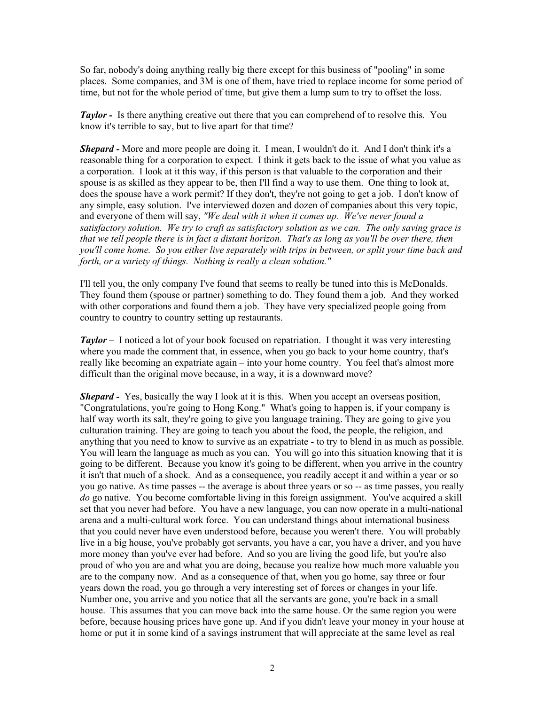So far, nobody's doing anything really big there except for this business of "pooling" in some places. Some companies, and 3M is one of them, have tried to replace income for some period of time, but not for the whole period of time, but give them a lump sum to try to offset the loss.

*Taylor -* Is there anything creative out there that you can comprehend of to resolve this. You know it's terrible to say, but to live apart for that time?

*Shepard -* More and more people are doing it. I mean, I wouldn't do it. And I don't think it's a reasonable thing for a corporation to expect. I think it gets back to the issue of what you value as a corporation. I look at it this way, if this person is that valuable to the corporation and their spouse is as skilled as they appear to be, then I'll find a way to use them. One thing to look at, does the spouse have a work permit? If they don't, they're not going to get a job. I don't know of any simple, easy solution. I've interviewed dozen and dozen of companies about this very topic, and everyone of them will say, *"We deal with it when it comes up. We've never found a satisfactory solution. We try to craft as satisfactory solution as we can. The only saving grace is that we tell people there is in fact a distant horizon. That's as long as you'll be over there, then you'll come home. So you either live separately with trips in between, or split your time back and forth, or a variety of things. Nothing is really a clean solution."* 

I'll tell you, the only company I've found that seems to really be tuned into this is McDonalds. They found them (spouse or partner) something to do. They found them a job. And they worked with other corporations and found them a job. They have very specialized people going from country to country to country setting up restaurants.

*Taylor –* I noticed a lot of your book focused on repatriation. I thought it was very interesting where you made the comment that, in essence, when you go back to your home country, that's really like becoming an expatriate again – into your home country. You feel that's almost more difficult than the original move because, in a way, it is a downward move?

*Shepard* - Yes, basically the way I look at it is this. When you accept an overseas position, "Congratulations, you're going to Hong Kong." What's going to happen is, if your company is half way worth its salt, they're going to give you language training. They are going to give you culturation training. They are going to teach you about the food, the people, the religion, and anything that you need to know to survive as an expatriate - to try to blend in as much as possible. You will learn the language as much as you can. You will go into this situation knowing that it is going to be different. Because you know it's going to be different, when you arrive in the country it isn't that much of a shock. And as a consequence, you readily accept it and within a year or so you go native. As time passes -- the average is about three years or so -- as time passes, you really *do* go native. You become comfortable living in this foreign assignment. You've acquired a skill set that you never had before. You have a new language, you can now operate in a multi-national arena and a multi-cultural work force. You can understand things about international business that you could never have even understood before, because you weren't there. You will probably live in a big house, you've probably got servants, you have a car, you have a driver, and you have more money than you've ever had before. And so you are living the good life, but you're also proud of who you are and what you are doing, because you realize how much more valuable you are to the company now. And as a consequence of that, when you go home, say three or four years down the road, you go through a very interesting set of forces or changes in your life. Number one, you arrive and you notice that all the servants are gone, you're back in a small house. This assumes that you can move back into the same house. Or the same region you were before, because housing prices have gone up. And if you didn't leave your money in your house at home or put it in some kind of a savings instrument that will appreciate at the same level as real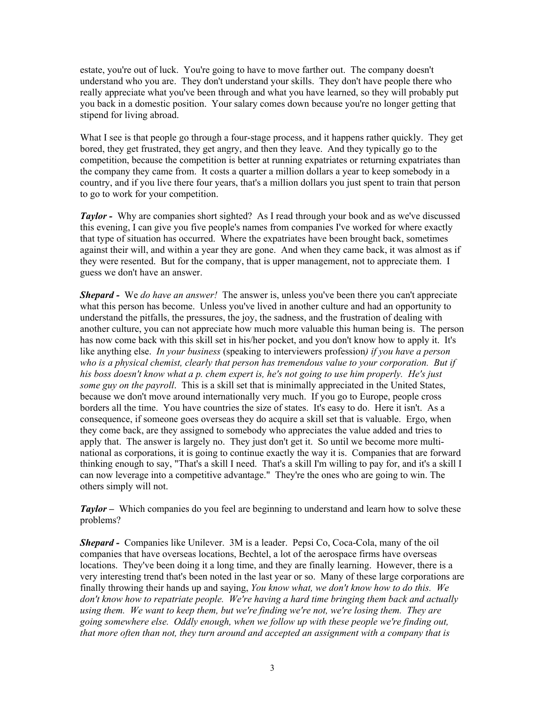estate, you're out of luck. You're going to have to move farther out. The company doesn't understand who you are. They don't understand your skills. They don't have people there who really appreciate what you've been through and what you have learned, so they will probably put you back in a domestic position. Your salary comes down because you're no longer getting that stipend for living abroad.

What I see is that people go through a four-stage process, and it happens rather quickly. They get bored, they get frustrated, they get angry, and then they leave. And they typically go to the competition, because the competition is better at running expatriates or returning expatriates than the company they came from. It costs a quarter a million dollars a year to keep somebody in a country, and if you live there four years, that's a million dollars you just spent to train that person to go to work for your competition.

*Taylor -* Why are companies short sighted? As I read through your book and as we've discussed this evening, I can give you five people's names from companies I've worked for where exactly that type of situation has occurred. Where the expatriates have been brought back, sometimes against their will, and within a year they are gone. And when they came back, it was almost as if they were resented. But for the company, that is upper management, not to appreciate them. I guess we don't have an answer.

*Shepard -* We *do have an answer!* The answer is, unless you've been there you can't appreciate what this person has become. Unless you've lived in another culture and had an opportunity to understand the pitfalls, the pressures, the joy, the sadness, and the frustration of dealing with another culture, you can not appreciate how much more valuable this human being is. The person has now come back with this skill set in his/her pocket, and you don't know how to apply it. It's like anything else. *In your business* (speaking to interviewers profession*) if you have a person who is a physical chemist, clearly that person has tremendous value to your corporation. But if his boss doesn't know what a p. chem expert is, he's not going to use him properly. He's just some guy on the payroll*. This is a skill set that is minimally appreciated in the United States, because we don't move around internationally very much. If you go to Europe, people cross borders all the time. You have countries the size of states. It's easy to do. Here it isn't. As a consequence, if someone goes overseas they do acquire a skill set that is valuable. Ergo, when they come back, are they assigned to somebody who appreciates the value added and tries to apply that. The answer is largely no. They just don't get it. So until we become more multinational as corporations, it is going to continue exactly the way it is. Companies that are forward thinking enough to say, "That's a skill I need. That's a skill I'm willing to pay for, and it's a skill I can now leverage into a competitive advantage." They're the ones who are going to win. The others simply will not.

*Taylor* – Which companies do you feel are beginning to understand and learn how to solve these problems?

*Shepard -* Companies like Unilever. 3M is a leader. Pepsi Co, Coca-Cola, many of the oil companies that have overseas locations, Bechtel, a lot of the aerospace firms have overseas locations. They've been doing it a long time, and they are finally learning. However, there is a very interesting trend that's been noted in the last year or so. Many of these large corporations are finally throwing their hands up and saying, *You know what, we don't know how to do this. We don't know how to repatriate people. We're having a hard time bringing them back and actually using them. We want to keep them, but we're finding we're not, we're losing them. They are going somewhere else. Oddly enough, when we follow up with these people we're finding out, that more often than not, they turn around and accepted an assignment with a company that is*